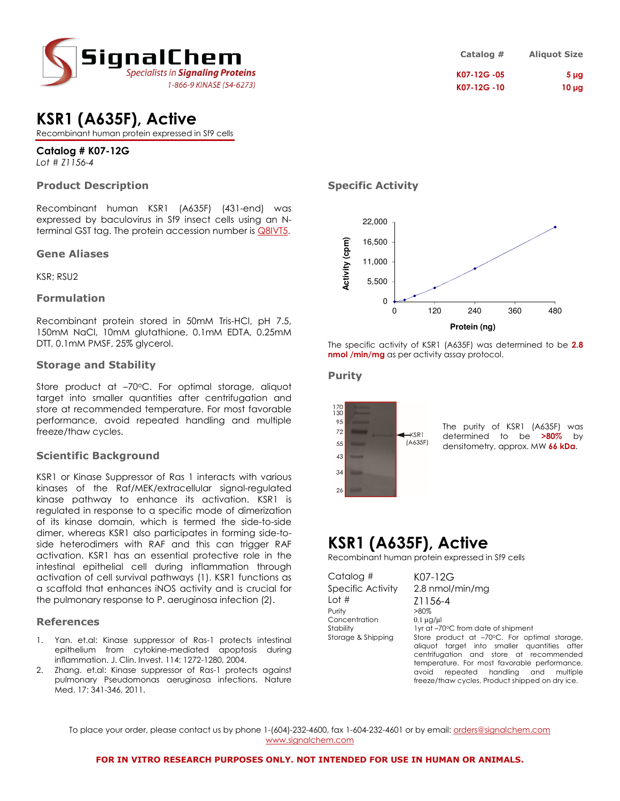

| KSR1 (A635F), Active |  |
|----------------------|--|
|                      |  |

Recombinant human protein expressed in Sf9 cells

## **Catalog # K07-12G**

*Lot # Z1156-4*

### **Product Description**

Recombinant human KSR1 (A635F) (431-end) was expressed by baculovirus in Sf9 insect cells using an Nterminal GST tag. The protein accession number is **Q8IVT5**.

### **Gene Aliases**

KSR; RSU2

### **Formulation**

Recombinant protein stored in 50mM Tris-HCl, pH 7.5, 150mM NaCl, 10mM glutathione, 0.1mM EDTA, 0.25mM DTT, 0.1mM PMSF, 25% glycerol.

### **Storage and Stability**

Store product at  $-70^{\circ}$ C. For optimal storage, aliquot target into smaller quantities after centrifugation and store at recommended temperature. For most favorable performance, avoid repeated handling and multiple freeze/thaw cycles.

### **Scientific Background**

KSR1 or Kinase Suppressor of Ras 1 interacts with various kinases of the Raf/MEK/extracellular signal-regulated kinase pathway to enhance its activation. KSR1 is regulated in response to a specific mode of dimerization of its kinase domain, which is termed the side-to-side dimer, whereas KSR1 also participates in forming side-toside heterodimers with RAF and this can trigger RAF activation. KSR1 has an essential protective role in the intestinal epithelial cell during inflammation through activation of cell survival pathways (1). KSR1 functions as a scaffold that enhances iNOS activity and is crucial for the pulmonary response to P. aeruginosa infection (2).

### **References**

- 1. Yan. et.al: Kinase suppressor of Ras-1 protects intestinal epithelium from cytokine-mediated apoptosis during inflammation. J. Clin. Invest. 114: 1272-1280, 2004.
- Zhang. et.al: Kinase suppressor of Ras-1 protects against pulmonary Pseudomonas aeruginosa infections. Nature Med. 17: 341-346, 2011.

**Specific Activity** 



The specific activity of KSR1 (A635F) was determined to be **2.8 nmol /min/mg** as per activity assay protocol.

### **Purity**



The purity of KSR1 (A635F) was determined to be **>80%** by densitometry, approx. MW **66 kDa**.

## **KSR1 (A635F), Active**

Recombinant human protein expressed in Sf9 cells

| Catalog #          | K07-12G                                                                                                                                 |  |
|--------------------|-----------------------------------------------------------------------------------------------------------------------------------------|--|
| Specific Activity  | 2.8 nmol/min/mg                                                                                                                         |  |
| Lot $#$            | Z1156-4                                                                                                                                 |  |
| Purity             | $>80\%$                                                                                                                                 |  |
| Concentration      | $0.1 \mu$ g/ $\mu$                                                                                                                      |  |
| Stability          | 1yr at -70°C from date of shipment                                                                                                      |  |
| Storage & Shipping | Store product at -70°C. For optimal storage,<br>aliquot target into smaller quantities after<br>centrifugation and store at recommended |  |
|                    | temperature. For most favorable performance,                                                                                            |  |
|                    | repeated handling<br>avoid<br>and<br>multiple                                                                                           |  |
|                    | freeze/thaw cycles. Product shipped on dry ice.                                                                                         |  |

To place your order, please contact us by phone 1-(604)-232-4600, fax 1-604-232-4601 or by email: orders@signalchem.com www.signalchem.com

## **Catalog # Aliquot Size K07-12G -05 5 µg K07-12G -10 10 µg**